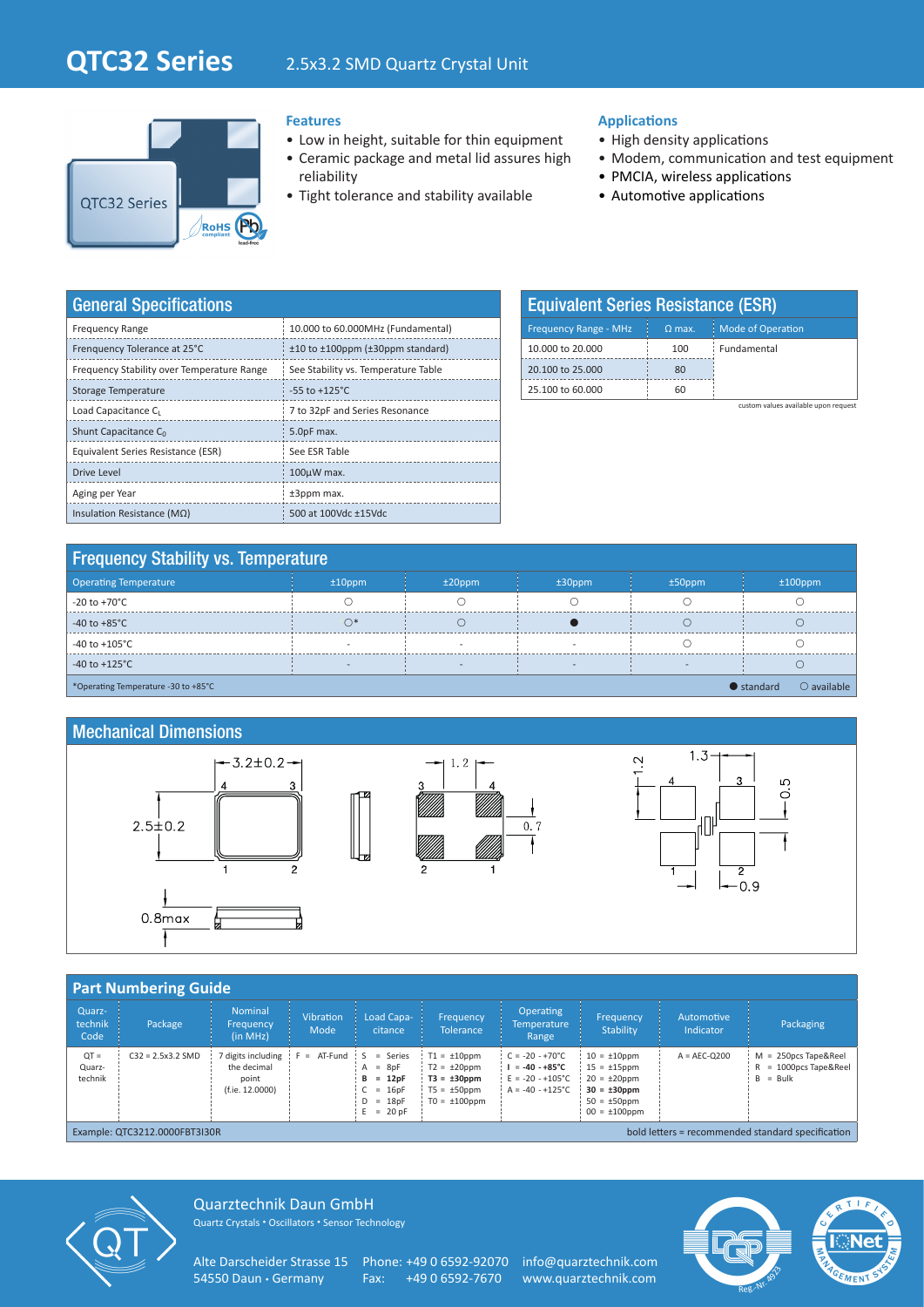# **QTC32 Series**

# 2.5x3.2 SMD Quartz Crystal Unit



#### **Features**

- Low in height, suitable for thin equipment
- Ceramic package and metal lid assures high reliability
- Tight tolerance and stability available

#### **Applications**

- High density applications
- Modem, communication and test equipment
- PMCIA, wireless applications
- Automotive applications

| <b>General Specifications</b>              |                                           |  |  |  |  |  |  |
|--------------------------------------------|-------------------------------------------|--|--|--|--|--|--|
| <b>Frequency Range</b>                     | 10.000 to 60.000MHz (Fundamental)         |  |  |  |  |  |  |
| Frenquency Tolerance at 25°C               | $±10$ to $±100$ ppm ( $±30$ ppm standard) |  |  |  |  |  |  |
| Frequency Stability over Temperature Range | See Stability vs. Temperature Table       |  |  |  |  |  |  |
| Storage Temperature                        | $-55$ to $+125^{\circ}$ C                 |  |  |  |  |  |  |
| Load Capacitance C                         | 7 to 32pF and Series Resonance            |  |  |  |  |  |  |
| Shunt Capacitance C <sub>0</sub>           | 5.0pF max.                                |  |  |  |  |  |  |
| Equivalent Series Resistance (ESR)         | See ESR Table                             |  |  |  |  |  |  |
| <b>Drive Level</b>                         | $100\mu$ W max.                           |  |  |  |  |  |  |
| Aging per Year                             | $±3$ ppm max.                             |  |  |  |  |  |  |
| Insulation Resistance ( $M\Omega$ )        | 500 at 100Vdc ±15Vdc                      |  |  |  |  |  |  |

| <b>Equivalent Series Resistance (ESR)</b> |          |                          |  |  |  |  |  |  |
|-------------------------------------------|----------|--------------------------|--|--|--|--|--|--|
| <b>Frequency Range - MHz</b>              | $Q$ max. | <b>Mode of Operation</b> |  |  |  |  |  |  |
| 10,000 to 20,000                          | 100      | Fundamental              |  |  |  |  |  |  |
| 20,100 to 25,000                          | 80       |                          |  |  |  |  |  |  |
| 25,100 to 60,000                          | 60       |                          |  |  |  |  |  |  |

custom values available upon request

| <b>Frequency Stability vs. Temperature</b>                                        |                          |           |           |           |            |  |  |  |  |
|-----------------------------------------------------------------------------------|--------------------------|-----------|-----------|-----------|------------|--|--|--|--|
| Operating Temperature                                                             | $±10$ ppm                | $±20$ ppm | $±30$ ppm | $±50$ ppm | $±100$ ppm |  |  |  |  |
| -20 to +70°C                                                                      |                          |           |           |           |            |  |  |  |  |
| -40 to +85 $^{\circ}$ C                                                           |                          |           |           |           |            |  |  |  |  |
| -40 to +105°C                                                                     |                          |           |           |           |            |  |  |  |  |
| -40 to +125 $^{\circ}$ C                                                          | $\overline{\phantom{a}}$ |           |           |           |            |  |  |  |  |
| $\bullet$ standard<br>$\bigcirc$ available<br>*Operating Temperature -30 to +85°C |                          |           |           |           |            |  |  |  |  |

### Mechanical Dimensions







|                             | <b>Part Numbering Guide</b> |                                                               |                          |                                                                                       |                                                                                                     |                                                                                                        |                                                                                                                             |                         |                                                                    |
|-----------------------------|-----------------------------|---------------------------------------------------------------|--------------------------|---------------------------------------------------------------------------------------|-----------------------------------------------------------------------------------------------------|--------------------------------------------------------------------------------------------------------|-----------------------------------------------------------------------------------------------------------------------------|-------------------------|--------------------------------------------------------------------|
| Quarz-<br>technik<br>Code   | Package                     | <b>Nominal</b><br>Frequency<br>(in MHz)                       | <b>Vibration</b><br>Mode | Load Capa-<br>citance                                                                 | Frequency<br><b>Tolerance</b>                                                                       | <b>Operating</b><br><b>Temperature</b><br>Range                                                        | <b>Frequency</b><br><b>Stability</b>                                                                                        | Automotive<br>Indicator | Packaging                                                          |
| $QT =$<br>Quarz-<br>technik | $C32 = 2.5x3.2$ SMD         | 7 digits including<br>the decimal<br>point<br>(f.ie. 12.0000) | $= AT-Fund$              | $=$ Series<br>$= 8pF$<br>А<br>$= 12pF$<br>в<br>$= 16pF$<br>$= 18pF$<br>D<br>$= 20 pF$ | $T1 = \pm 10$ ppm<br>$T2 = \pm 20$ ppm<br>$T3 = \pm 30$ ppm<br>$T5 = \pm 50$ ppm<br>$TO = ±100$ ppm | $C = -20 - +70^{\circ}C$<br>$= -40 - +85^{\circ}C$<br>$E = -20 - +105^{\circ}C$<br>$A = -40 - +125$ °C | $10 = \pm 10$ ppm<br>$15 = \pm 15$ ppm<br>$20 = \pm 20$ ppm<br>$30 = \pm 30$ ppm<br>$50 = \pm 50$ ppm<br>$00 = \pm 100$ ppm | $A = AEC-O200$          | $M = 250DCS$ Tape&Reel<br>$R = 1000$ pcs Tape & Reel<br>$B = Bulk$ |

mple: QTC3212.0000FBT3



Quarztechnik Daun GmbH Quartz Crystals • Oscillators • Sensor Technology

Alte Darscheider Strasse 15 Phone: +49 0 6592-92070 info@quarztechnik.com<br>54550 Daun · Germany Fax: +49 0 6592-7670 www.quarztechnik.com

Fax: +49 0 6592-7670 www.quarztechnik.com